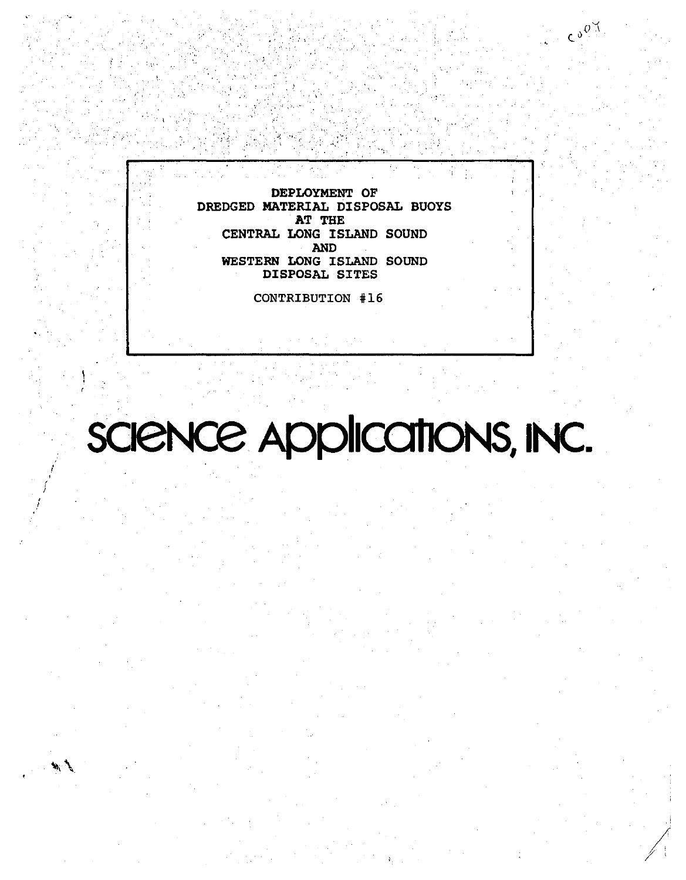DEPLOYMENT OF DREDGED MATERIAL DISPOSAL BUOYS AT THE CENTRAL LONG ISLAND SOUND **AND** WESTERN LONG ISLAND SOUND DISPOSAL SITES

 $\mathcal{L}_{\mathfrak{g},\mathfrak{g}}$ 

CONTRIBUTION #16

# SCIENCE Applications, INC.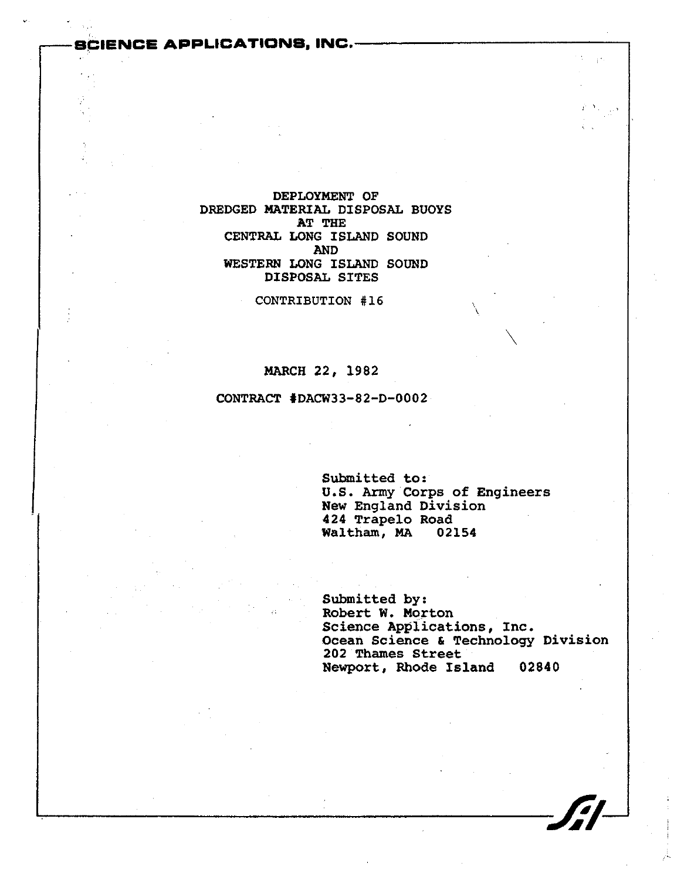## **ENCE APPLICATIONS. INC.--**

## DEPLOYMENT OF DREDGED MATERIAL DISPOSAL BUOYS AT THE CENTRAL LONG ISLAND SOUND AND WESTERN LONG ISLAND SOUND DISPOSAL SITES

CONTRIBUTION #16

#### MARCH 22, 1982

#### CONTRACT 'DACW33-82-D-0002

 $\sqrt{d}$ 

Submitted to: U.S. Army Corps of Engineers New England Division 424 Trapelo Road<br>Waltham, MA 02154 Waltham, MA

Submitted by: Robert W. Morton Science Applications, Inc. Ocean Science & Technology Division 202 Thames Street Newport, Rhode Island 02840

\

 $\diagdown$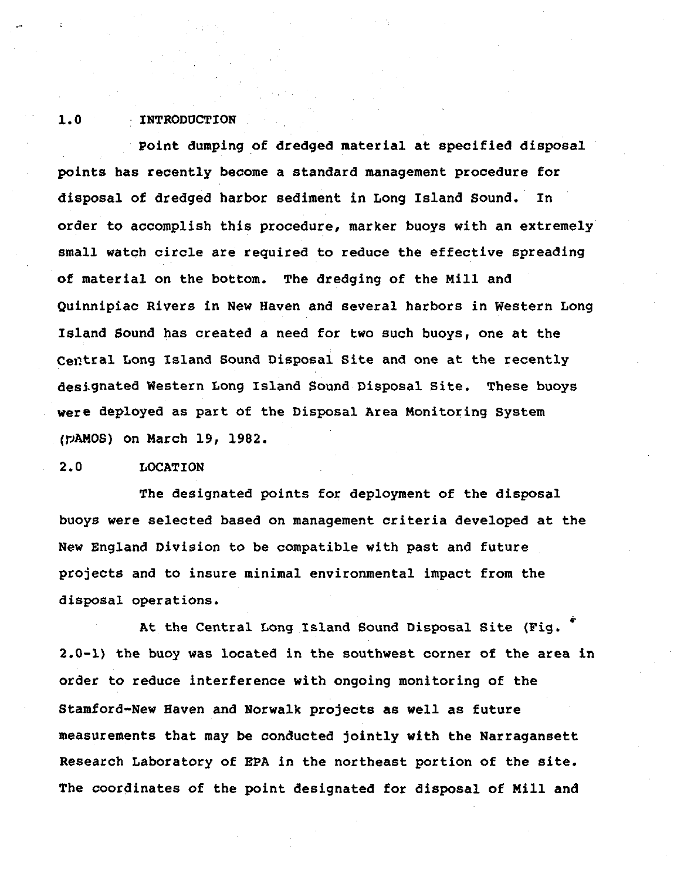## 1.0 INTRODUCTION

Point dumping of dredged material at specified disposal points has recently become a standard management procedure for disposal of dredged harbor sediment in Long Island Sound. In order to accomplish this procedure, marker buoys with an extremely small watch circle are required to reduce the effective spreading of material on the bottom. The dredging of the Mill and Quinnipiac Rivers in New Haven and several harbors in Western Long Island Sound has created a need for two such buoys, one at the Central Long Island Sound Disposal Site and one at the recently destgnated Western Long Island Sound Disposal Site. These buoys were deployed as part of the Disposal Area Monitoring System (PAMOS) on March 19, 1982.

## 2.0 LOCATION

The designated points for deployment of the disposal buoys were selected based on management criteria developed at the New England Division to be compatible with past and future projects and to insure minimal environmental impact from the disposal operations.

At the Central Long Island Sound Disposal Site (Fig. 2.0-1) the buoy was located in the southwest corner of the area in order to reduce interference with ongoing monitoring of the Stamford-New Haven and Norwalk projects as well as future measurements that may be conducted jointly with the Narragansett Research Laboratory of EPA in the northeast portion of the site. The coordinates of the point designated for disposal of Mill and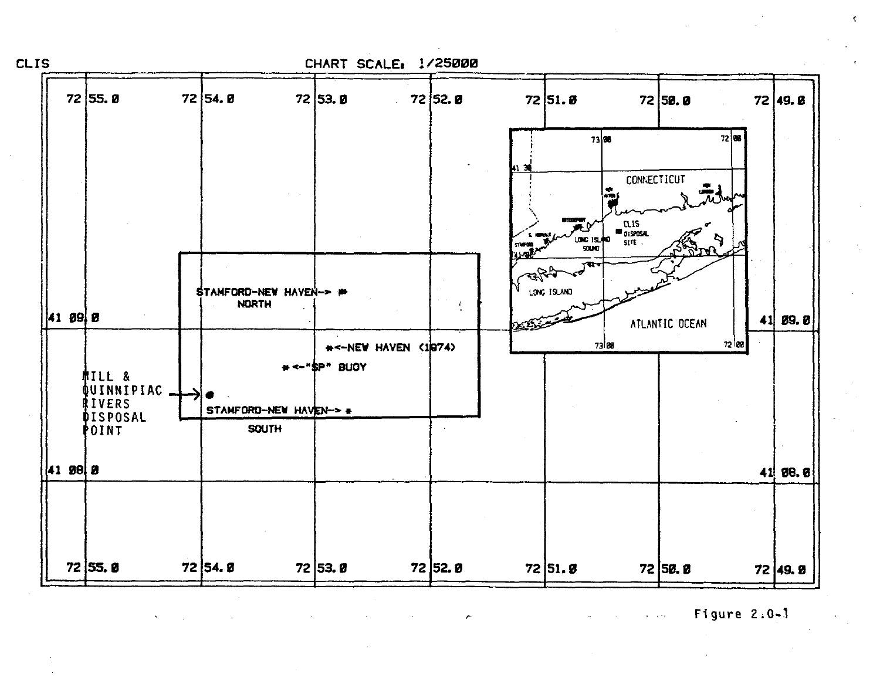

Figure  $2.0 - 1$  $\mathbf{r} = \mathbf{r} \times \mathbf{r}$  .

ċ

 $\hat{\phantom{a}}$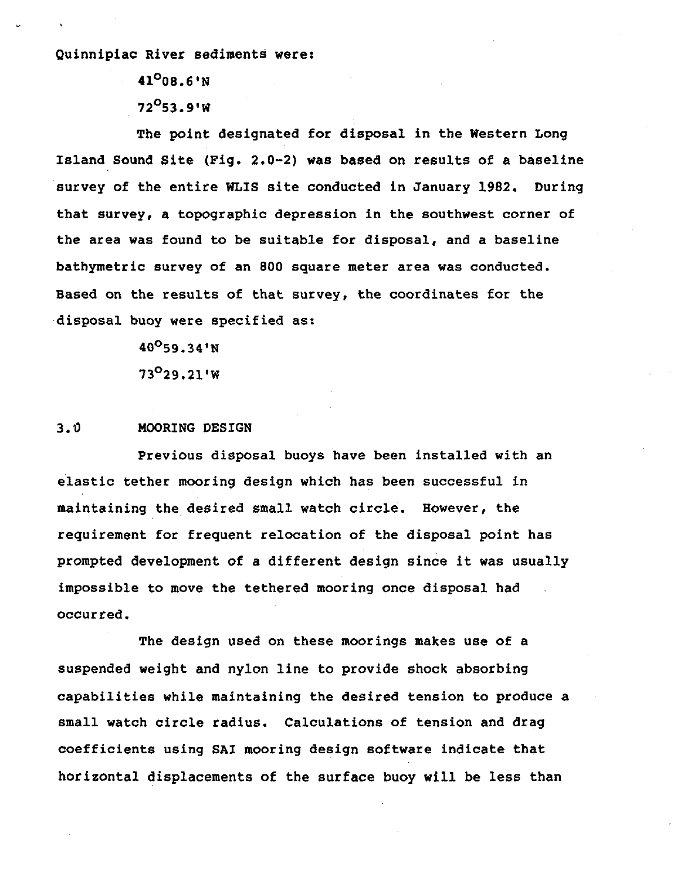Quinnipiac River sediments were:

41<sup>0</sup> 08.6'N  $72^{O}53.9'W$ 

The point designated for disposal in the Western Long Island Sound Site (Fig. 2.0-2) was based on results of a baseline survey of the entire WLIS site conducted in January 1982. During that survey, a topographic depression in the southwest corner of the area was found to be suitable for disposal, and a baseline bathymetric survey of an 800 square meter area was conducted. Based on the results of that survey, the coordinates for the disposal buoy were specified as:

> 40oS9.34'N 73<sup>0</sup>29.21'W

## 3.0 MOORING DESIGN

Previous disposal buoys have been installed with an elastic tether mooring design which has been successful in maintaining the desired small watch circle. However, the requirement for frequent relocation of the disposal point has prompted development of a different design since it was usually impossible to move the tethered mooring once disposal had occurred.

The design used on these moorings makes use of a suspended weight and nylon line to provide shock absorbing capabilities while maintaining the desired tension to produce a small watch circle radius. Calculations of tension and drag coefficients using SAl mooring design software indicate that horizontal displacements of the surface buoy will be less than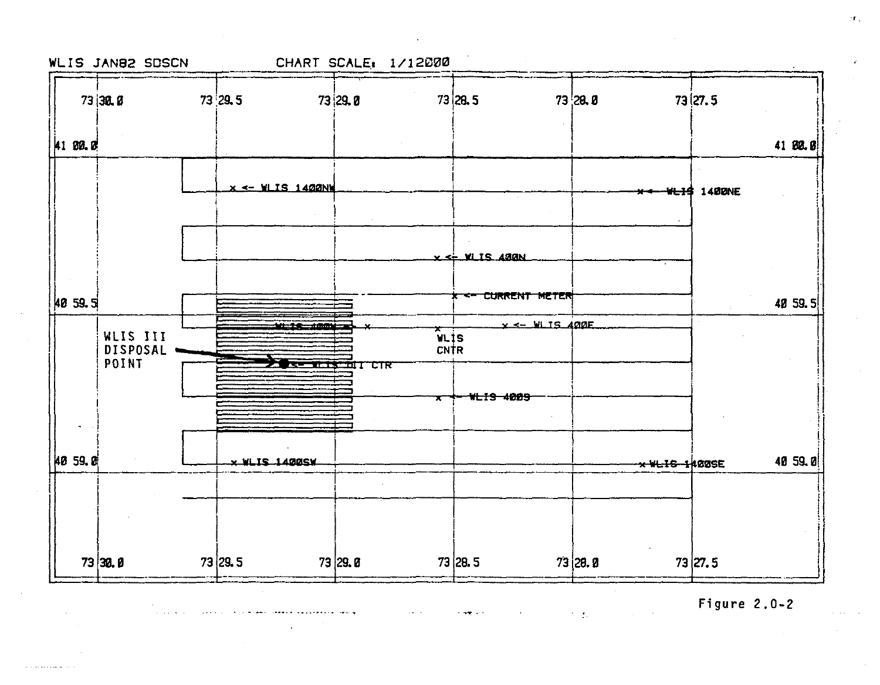

 $\mathcal{L}_{\mathbf{a}}$  ,  $\mathcal{L}_{\mathbf{a}}$ 

 $\sim 1000$  km s  $^{-1}$ 

والمعارضات والمحافظ والمحاملة

Figure  $2.0-2$ 

 $\chi_{\rm{max}}$  and  $\chi_{\rm{max}}$ 

 $\sigma_{\rm{max}}$ 

in.

**Contract Contract**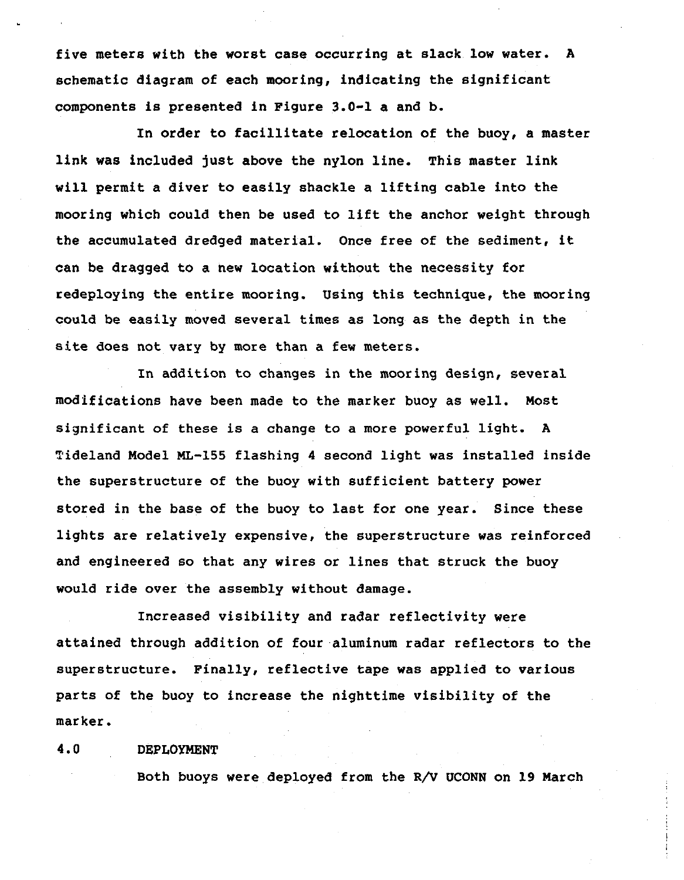five meters with the worst case occurring at slack low water. A schematic diagram of each mooring, indicating the significant components is presented in Figure 3.0-1 a and b.

In order to facillitate relocation of the buoy, a master link was included just above the nylon line. This master link will permit a diver to easily shackle a lifting cable into the mooring which could then be used to lift the anchor weight through the accumulated dredged material. Once free of the sediment, it can be dragged to a new location without the necessity for redeploying the entire mooring. Using this technique, the mooring could be easily moved several times as long as the depth in the site does not vary by more than a few meters.

In addition to changes in the mooring design, several modifications have been made to the marker buoy as well. Most significant of these is a change to a more powerful light. A Tideland Model ML-l55 flashing 4 second light was installed inside the superstructure of the buoy with sufficient battery power stored in the base of the buoy to last for one year. Since these lights are relatively expensive, the superstructure was reinforced and engineered so that any wires or lines that struck the buoy would ride over the assembly without damage.

Increased visibility and radar reflectivity were attained through addition of four aluminum radar reflectors to the superstructure. Finally, reflective tape was applied to various parts of the buoy to increase the nighttime visibility of the marker.

## 4.0 DEPLOYMENT

Both buoys were deployed from the R/V UCONN on 19 March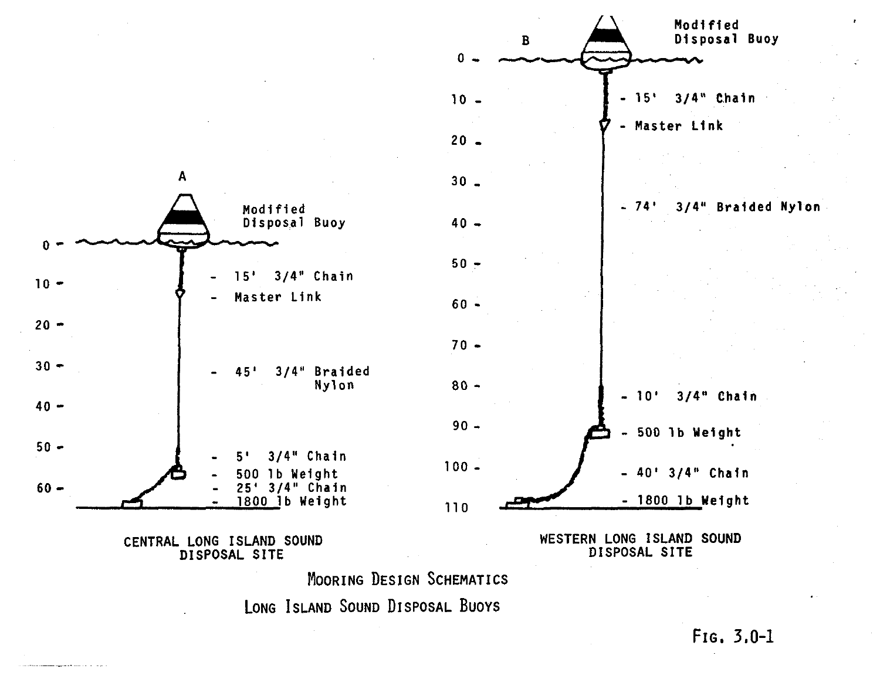

LONG ISLAND SOUND DISPOSAL BUOYS

FIG. 3.0-1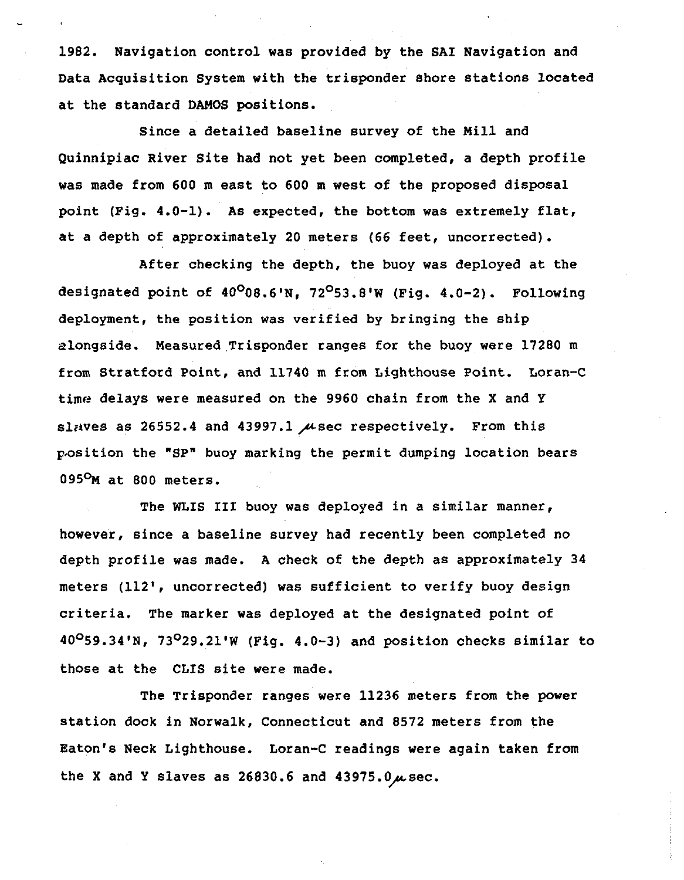1982. Navigation control was provided by the SAl Navigation and Data Acquisition System with the trisponder shore stations located at the standard DAMOS positions.

Since a detailed baseline survey of the Mill and Quinnipiac River Site had not yet been completed, a depth profile was made from 600 m east to 600 m west of the proposed disposal point (Fig. 4.0-1). As expected, the bottom was extremely flat, at a depth of approximately 20 meters (66 feet, uncorrected).

After checking the depth, the buoy was deployed at the designated point of  $40^{\circ}08.6$ 'N. 72<sup>0</sup>53.8'W (Fig. 4.0-2). Following deployment, the position was verified by bringing the ship alongside. Measured Trisponder ranges for the buoy were 17280 m from Stratford Point, and 11740 m from Lighthouse Point. Loran-C time delays were measured on the 9960 chain from the X and Y slaves as 26552.4 and 43997.1  $\mu$ sec respectively. From this p.osition the "SP" buoy marking the permit dumping location bears 095°M at 800 meters.

The WLIS III buoy was deployed in a similar manner, however, since a baseline survey had recently been completed no depth profile was made. A check of the depth as approximately 34 meters (112', uncorrected) was sufficient to verify buoy design criteria. The marker was deployed at the designated point of  $40^{\circ}59.34'$ N,  $73^{\circ}29.21'$ W (Fig. 4.0-3) and position checks similar to those at the CLIS site were made.

The Trisponder ranges were 11236 meters from the power station dock in Norwalk, Connecticut and 8572 meters from the Eaton's Neck Lighthouse. Loran-C readings were again taken from the X and Y slaves as  $26830.6$  and  $43975.0<sub>μ</sub>$  sec.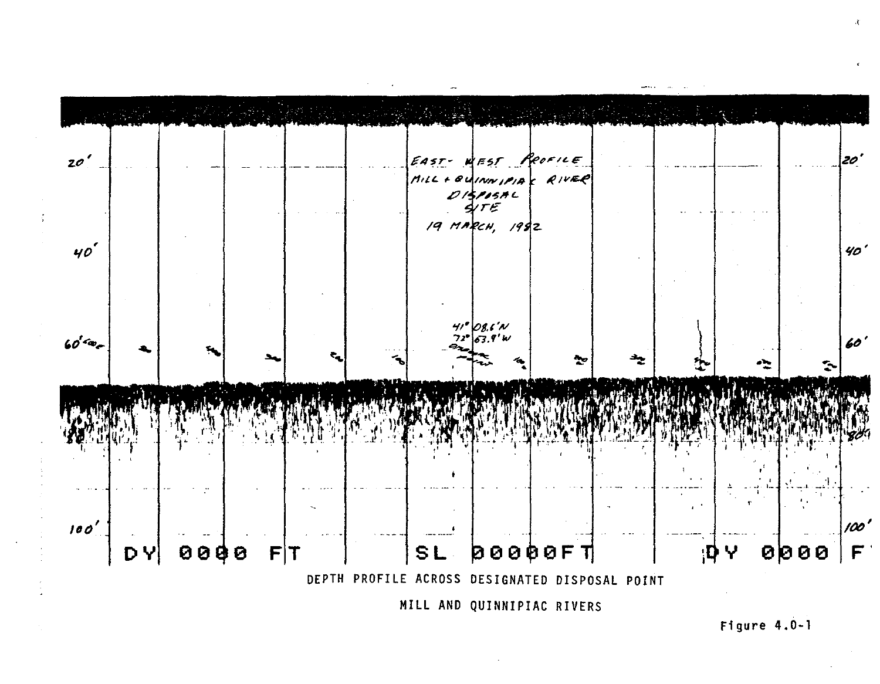

Figure  $4.0-1$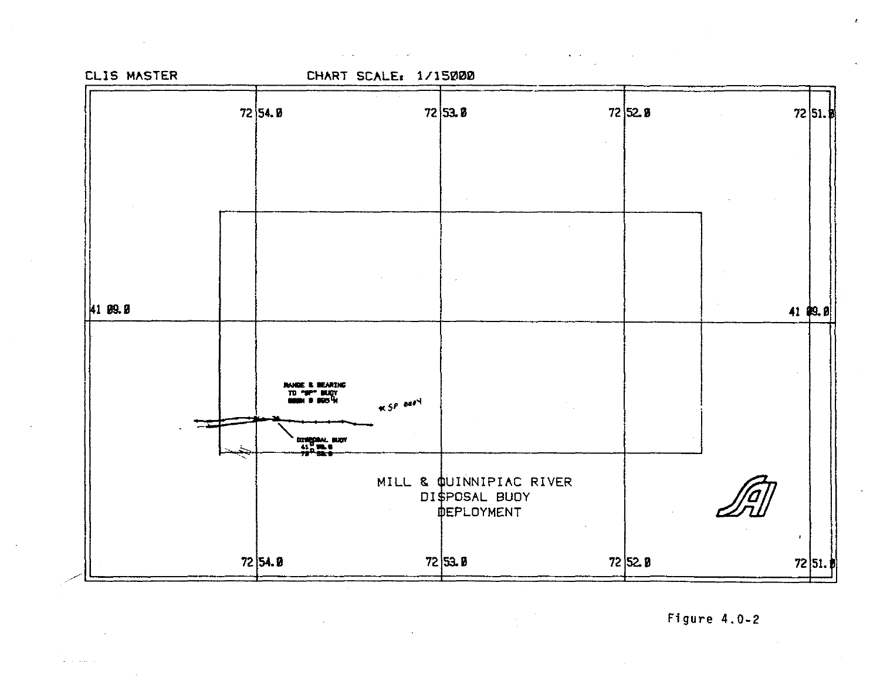

 $\mathbf{r}$ 

and also a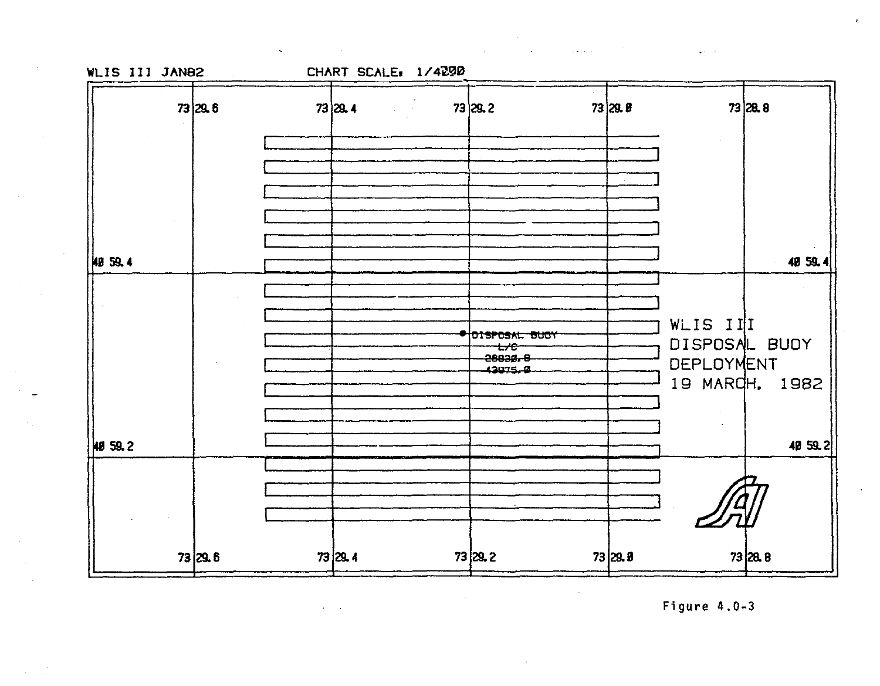CHART SCALE: 1/4090

 $\mathbf{v}^{\mathbf{v}}$ 



 $\mathcal{L}^{\mathcal{L}}$  and  $\mathcal{L}^{\mathcal{L}}$  are  $\mathcal{L}^{\mathcal{L}}$  . In the following the  $\mathcal{L}^{\mathcal{L}}$ 

 $\mathcal{L}_{\rm{max}}$ 

Figure  $4.0-3$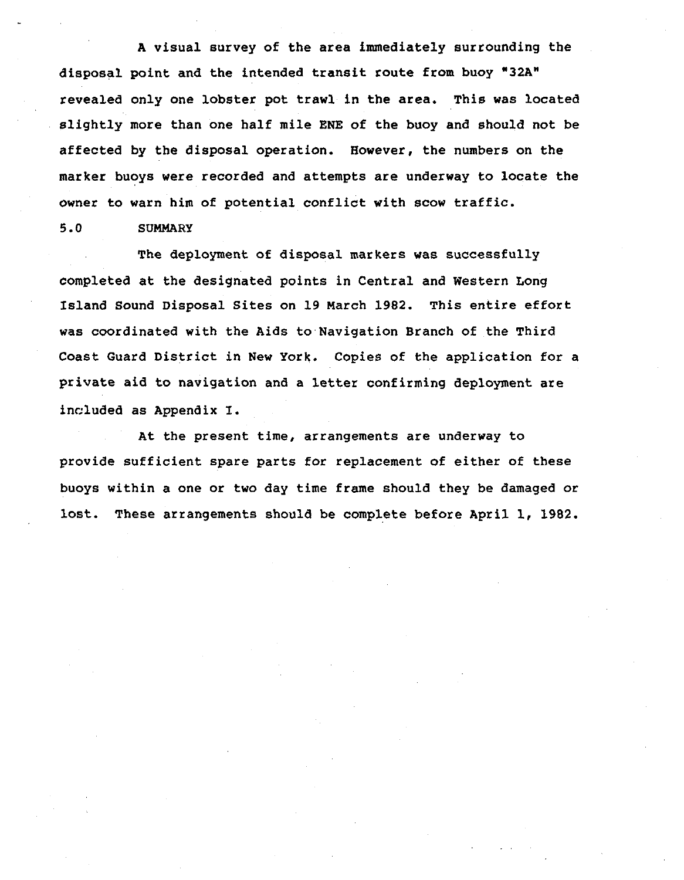A visual survey of the area immediately surrounding the disposal point and the intended transit route from buoy "32A" revealed only one lobster pot trawl in the area. This was located slightly more than one half mile ENE of the buoy and should not be affected by the disposal operation. However, the numbers on the marker buoys were recorded and attempts are underway to locate the owner to warn him of potential conflict with scow traffic.

5.0 SUMMARY

The deployment of disposal markers was successfully completed at the designated points in Central and Western Long Island Sound Disposal Sites on 19 March 1982. This entire effort was coordinated with the Aids to Navigation Branch of the Third Coast Guard District in New York. Copies of the application for a private aid to navigation and a letter confirming deployment are included as Appendix I.

At the present time, arrangements are underway to provide sufficient spare parts for replacement of either of these buoys within a one or two day time frame should they be damaged or lost. These arrangements should be complete before April 1, 1982.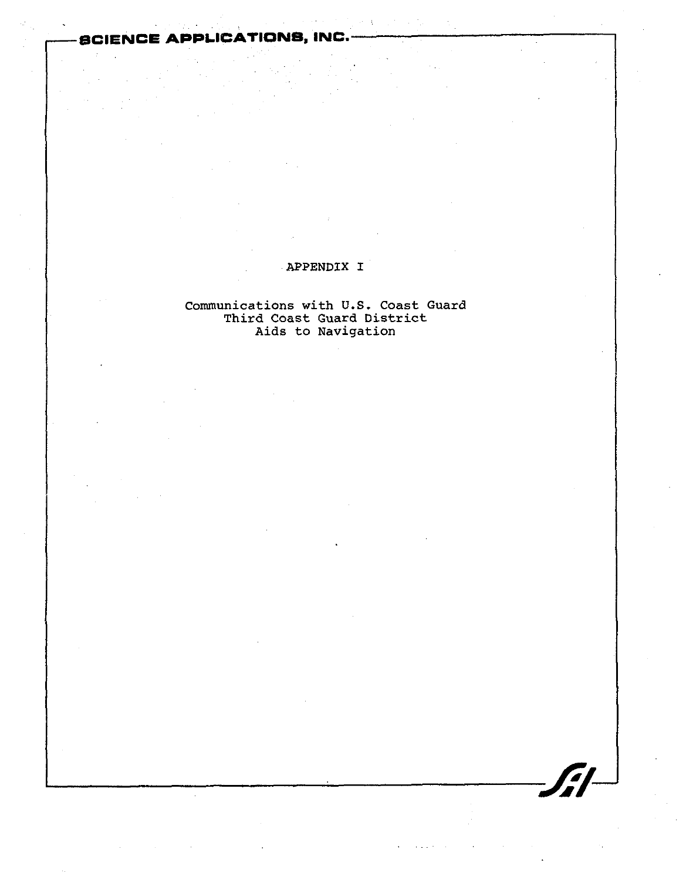**SCIENCE APPLICATIONS, INC.** 

## APPENDIX I

## communications with **U.S.** Coast Guard Third Coast Guard District Aids to Navigation

 $\frac{1}{\sqrt{1-\frac{1}{\sqrt{1-\frac{1}{\sqrt{1-\frac{1}{\sqrt{1-\frac{1}{\sqrt{1-\frac{1}{\sqrt{1-\frac{1}{\sqrt{1-\frac{1}{\sqrt{1-\frac{1}{\sqrt{1-\frac{1}{\sqrt{1-\frac{1}{\sqrt{1-\frac{1}{\sqrt{1-\frac{1}{\sqrt{1-\frac{1}{\sqrt{1-\frac{1}{\sqrt{1-\frac{1}{\sqrt{1-\frac{1}{\sqrt{1-\frac{1}{\sqrt{1-\frac{1}{\sqrt{1-\frac{1}{\sqrt{1-\frac{1}{\sqrt{1-\frac{1}{\sqrt{1-\frac{1}{\sqrt{1-\frac{1}{\sqrt{1-\frac{1$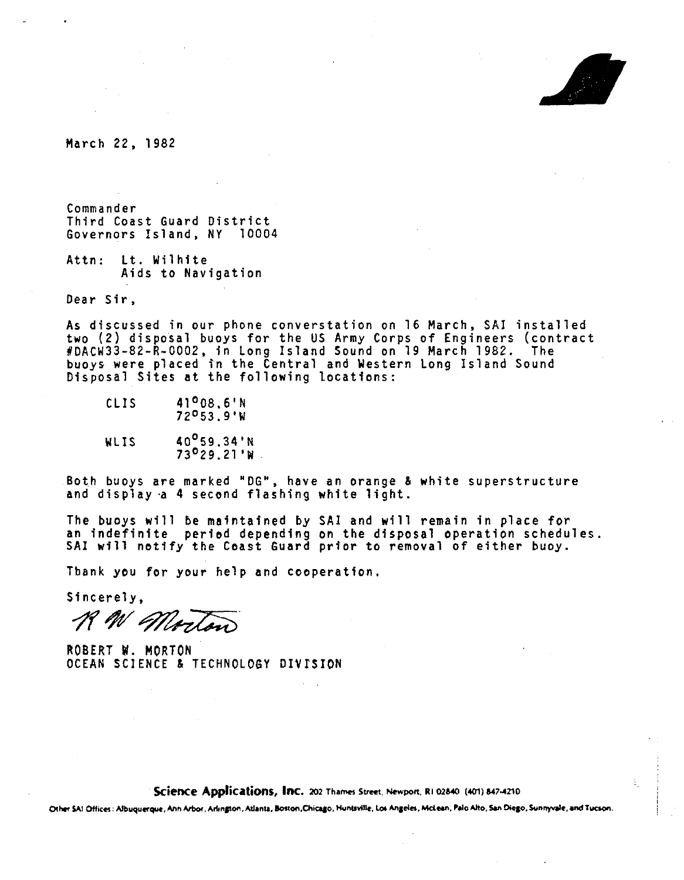

March 22, 1982

Commander Third Coast Guard District Governors Island, NY 10004

Attn: Lt. Wilhite Aids to Navigation

Dear Sir,

As discussed in our phone converstation on 16 March, SAl installed two (2) disposal buoys for the US Army Corps of Engineers (contract #DACW33-82-R-0002, in long Island Sound on 19 March 1982. The buoys were placed in the Central and Western long Island Sound Disposal Sites at the following locations:

- $CLIS$  41<sup>0</sup>08.6'N 72 0 53.9'W
- WLIS  $40^{0}_{.}59.34'N$ 73 <sup>0</sup> 29.21'W

Both buoys are marked "DG", have an orange & white superstructure<br>and display a 4 second flashing white light.

The buoys will be maintained by SAl and will remain in place for an indefinite peried depending on the disposal operation schedules. SAl will notify the Coast Guard prior to removal of either buoy.

Tbank you for your help and cooperation.

Sincerely,

R W Morton

ROBERT W. MORTON OCEAN SCIENCE & TECHNOLOGY DIVfSION

**Science Applications, Inc. 202 Thames Street, Newport, RI 02840 (401) 847-4210** 

Other \$AI Offices: Albuquerque, Ann Arbor, Arlington, Atlanta, Boston,Chicago, Huntsville, Los Angeles, McLean, Palo Alto, San Diego, Sunnyvale, and Tucson.